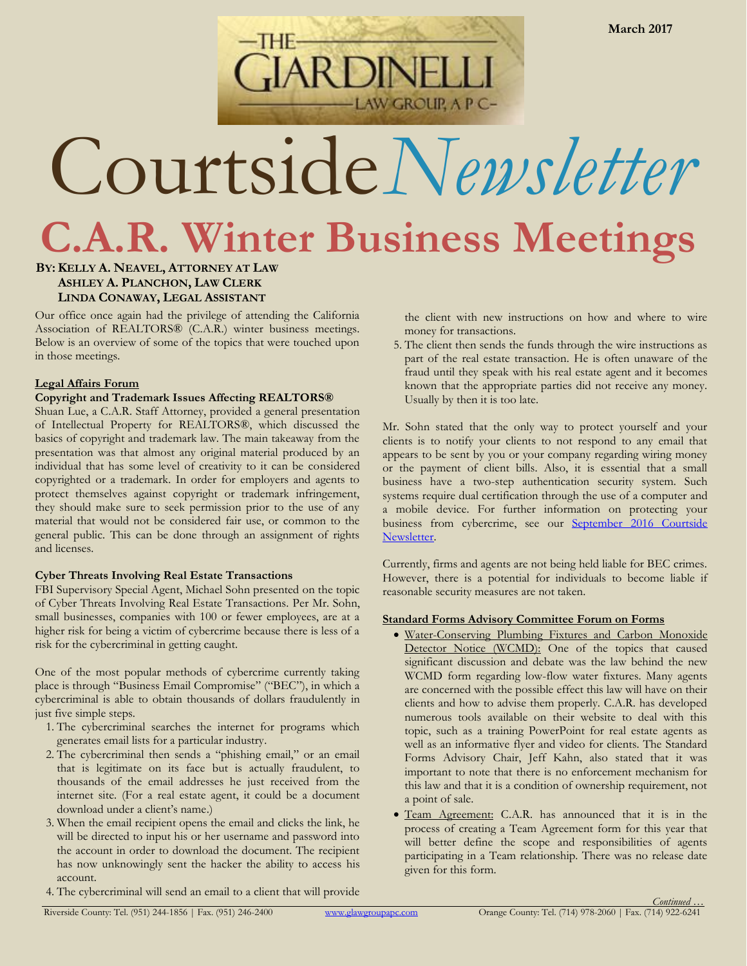

# Courtside*Newsletter*

**C.A.R. Winter Business Meetings**

# **BY:KELLY A. NEAVEL, ATTORNEY AT LAW ASHLEY A. PLANCHON, LAW CLERK LINDA CONAWAY, LEGAL ASSISTANT**

Our office once again had the privilege of attending the California Association of REALTORS® (C.A.R.) winter business meetings. Below is an overview of some of the topics that were touched upon in those meetings.

# **Legal Affairs Forum**

# **Copyright and Trademark Issues Affecting REALTORS®**

Shuan Lue, a C.A.R. Staff Attorney, provided a general presentation of Intellectual Property for REALTORS®, which discussed the basics of copyright and trademark law. The main takeaway from the presentation was that almost any original material produced by an individual that has some level of creativity to it can be considered copyrighted or a trademark. In order for employers and agents to protect themselves against copyright or trademark infringement, they should make sure to seek permission prior to the use of any material that would not be considered fair use, or common to the general public. This can be done through an assignment of rights and licenses.

# **Cyber Threats Involving Real Estate Transactions**

FBI Supervisory Special Agent, Michael Sohn presented on the topic of Cyber Threats Involving Real Estate Transactions. Per Mr. Sohn, small businesses, companies with 100 or fewer employees, are at a higher risk for being a victim of cybercrime because there is less of a risk for the cybercriminal in getting caught.

One of the most popular methods of cybercrime currently taking place is through "Business Email Compromise" ("BEC"), in which a cybercriminal is able to obtain thousands of dollars fraudulently in just five simple steps.

- 1. The cybercriminal searches the internet for programs which generates email lists for a particular industry.
- 2. The cybercriminal then sends a "phishing email," or an email that is legitimate on its face but is actually fraudulent, to thousands of the email addresses he just received from the internet site. (For a real estate agent, it could be a document download under a client's name.)
- 3. When the email recipient opens the email and clicks the link, he will be directed to input his or her username and password into the account in order to download the document. The recipient has now unknowingly sent the hacker the ability to access his account.
- 4. The cybercriminal will send an email to a client that will provide

the client with new instructions on how and where to wire money for transactions.

5. The client then sends the funds through the wire instructions as part of the real estate transaction. He is often unaware of the fraud until they speak with his real estate agent and it becomes known that the appropriate parties did not receive any money. Usually by then it is too late.

Mr. Sohn stated that the only way to protect yourself and your clients is to notify your clients to not respond to any email that appears to be sent by you or your company regarding wiring money or the payment of client bills. Also, it is essential that a small business have a two-step authentication security system. Such systems require dual certification through the use of a computer and a mobile device. For further information on protecting your business from cybercrime, see our September 2016 Courtside [Newsletter.](https://static1.squarespace.com/static/536e8cf3e4b0857ebbae906a/t/581ba16d15d5dba86e602b4a/1478205805693/September+2016+Newsletter_Cybersecurity.pdf)

Currently, firms and agents are not being held liable for BEC crimes. However, there is a potential for individuals to become liable if reasonable security measures are not taken.

# **Standard Forms Advisory Committee Forum on Forms**

- Water-Conserving Plumbing Fixtures and Carbon Monoxide Detector Notice (WCMD): One of the topics that caused significant discussion and debate was the law behind the new WCMD form regarding low-flow water fixtures. Many agents are concerned with the possible effect this law will have on their clients and how to advise them properly. C.A.R. has developed numerous tools available on their website to deal with this topic, such as a training PowerPoint for real estate agents as well as an informative flyer and video for clients. The Standard Forms Advisory Chair, Jeff Kahn, also stated that it was important to note that there is no enforcement mechanism for this law and that it is a condition of ownership requirement, not a point of sale.
- Team Agreement: C.A.R. has announced that it is in the process of creating a Team Agreement form for this year that will better define the scope and responsibilities of agents participating in a Team relationship. There was no release date given for this form.